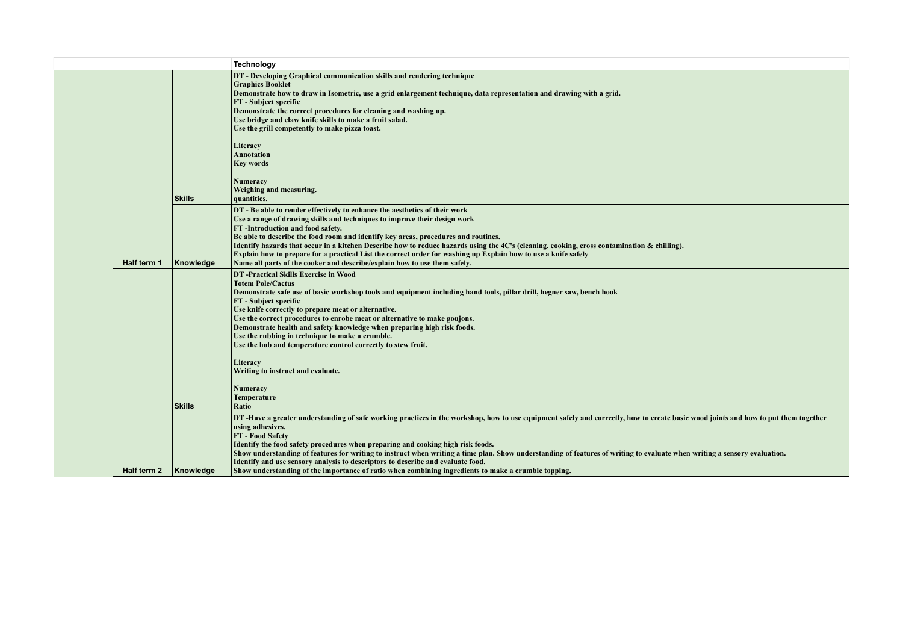|  |             |                  | Technology                                                                                                                                                                                                                                                                                                                                                                                                                                                                                                                                                                                                                      |
|--|-------------|------------------|---------------------------------------------------------------------------------------------------------------------------------------------------------------------------------------------------------------------------------------------------------------------------------------------------------------------------------------------------------------------------------------------------------------------------------------------------------------------------------------------------------------------------------------------------------------------------------------------------------------------------------|
|  |             |                  | DT - Developing Graphical communication skills and rendering technique<br><b>Graphics Booklet</b><br>Demonstrate how to draw in Isometric, use a grid enlargement technique, data representation and drawing with a grid.<br>FT - Subject specific<br>Demonstrate the correct procedures for cleaning and washing up.<br>Use bridge and claw knife skills to make a fruit salad.<br>Use the grill competently to make pizza toast.<br>Literacy<br><b>Annotation</b><br>Key words<br>Numeracy<br>Weighing and measuring.                                                                                                         |
|  |             | <b>Skills</b>    | quantities.                                                                                                                                                                                                                                                                                                                                                                                                                                                                                                                                                                                                                     |
|  | Half term 1 | Knowledge        | DT - Be able to render effectively to enhance the aesthetics of their work<br>Use a range of drawing skills and techniques to improve their design work<br>FT-Introduction and food safety.<br>Be able to describe the food room and identify key areas, procedures and routines.<br>Identify hazards that occur in a kitchen Describe how to reduce hazards using the 4C's (cleaning, cooking, cross contamination & chilling).<br>Explain how to prepare for a practical List the correct order for washing up Explain how to use a knife safely<br>Name all parts of the cooker and describe/explain how to use them safely. |
|  |             |                  | DT - Practical Skills Exercise in Wood<br><b>Totem Pole/Cactus</b>                                                                                                                                                                                                                                                                                                                                                                                                                                                                                                                                                              |
|  |             |                  | Demonstrate safe use of basic workshop tools and equipment including hand tools, pillar drill, hegner saw, bench hook                                                                                                                                                                                                                                                                                                                                                                                                                                                                                                           |
|  |             |                  | FT - Subject specific<br>Use knife correctly to prepare meat or alternative.                                                                                                                                                                                                                                                                                                                                                                                                                                                                                                                                                    |
|  |             |                  | Use the correct procedures to enrobe meat or alternative to make goujons.                                                                                                                                                                                                                                                                                                                                                                                                                                                                                                                                                       |
|  |             |                  | Demonstrate health and safety knowledge when preparing high risk foods.                                                                                                                                                                                                                                                                                                                                                                                                                                                                                                                                                         |
|  |             |                  | Use the rubbing in technique to make a crumble.<br>Use the hob and temperature control correctly to stew fruit.                                                                                                                                                                                                                                                                                                                                                                                                                                                                                                                 |
|  |             |                  |                                                                                                                                                                                                                                                                                                                                                                                                                                                                                                                                                                                                                                 |
|  |             |                  | Literacy<br>Writing to instruct and evaluate.                                                                                                                                                                                                                                                                                                                                                                                                                                                                                                                                                                                   |
|  |             |                  |                                                                                                                                                                                                                                                                                                                                                                                                                                                                                                                                                                                                                                 |
|  |             |                  | Numeracy                                                                                                                                                                                                                                                                                                                                                                                                                                                                                                                                                                                                                        |
|  |             | <b>Skills</b>    | Temperature<br>Ratio                                                                                                                                                                                                                                                                                                                                                                                                                                                                                                                                                                                                            |
|  |             |                  | DT -Have a greater understanding of safe working practices in the workshop, how to use equipment safely and correctly, how to create basic wood joints and how to put them together                                                                                                                                                                                                                                                                                                                                                                                                                                             |
|  |             |                  | using adhesives.                                                                                                                                                                                                                                                                                                                                                                                                                                                                                                                                                                                                                |
|  |             |                  | FT - Food Safety<br>Identify the food safety procedures when preparing and cooking high risk foods.                                                                                                                                                                                                                                                                                                                                                                                                                                                                                                                             |
|  |             |                  | Show understanding of features for writing to instruct when writing a time plan. Show understanding of features of writing to evaluate when writing a sensory evaluation.                                                                                                                                                                                                                                                                                                                                                                                                                                                       |
|  | Half term 2 | <b>Knowledge</b> | Identify and use sensory analysis to descriptors to describe and evaluate food.<br>Show understanding of the importance of ratio when combining ingredients to make a crumble topping.                                                                                                                                                                                                                                                                                                                                                                                                                                          |
|  |             |                  |                                                                                                                                                                                                                                                                                                                                                                                                                                                                                                                                                                                                                                 |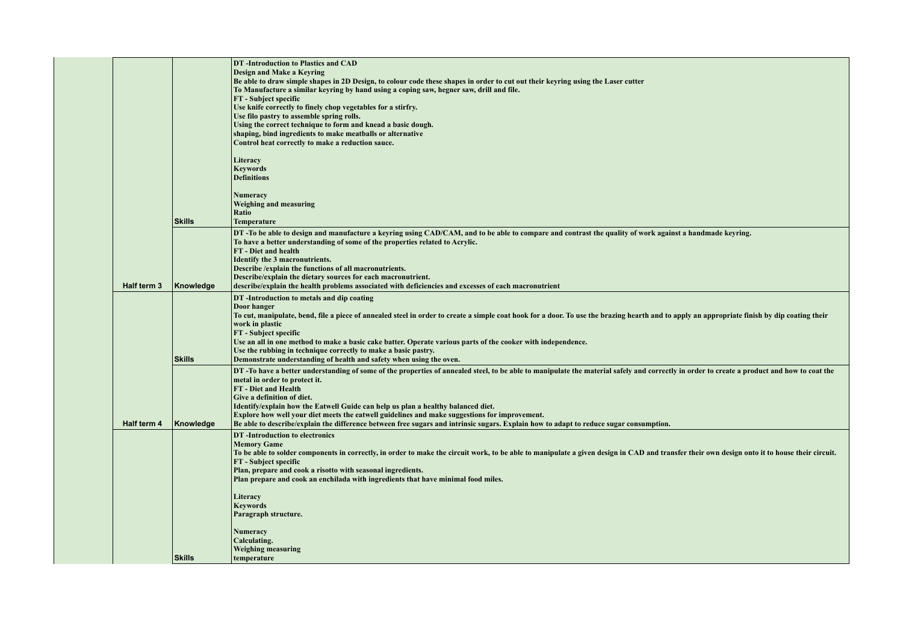|  |             |               | DT-Introduction to Plastics and CAD<br>Design and Make a Keyring<br>Be able to draw simple shapes in 2D Design, to colour code these shapes in order to cut out their keyring using the Laser cutter<br>To Manufacture a similar keyring by hand using a coping saw, hegner saw, drill and file.<br><b>FT</b> - Subject specific<br>Use knife correctly to finely chop vegetables for a stirfry.<br>Use filo pastry to assemble spring rolls.<br>Using the correct technique to form and knead a basic dough.<br>shaping, bind ingredients to make meatballs or alternative<br>Control heat correctly to make a reduction sauce.<br>Literacy<br><b>Keywords</b><br><b>Definitions</b><br>Numeracy<br><b>Weighing and measuring</b><br>Ratio |
|--|-------------|---------------|---------------------------------------------------------------------------------------------------------------------------------------------------------------------------------------------------------------------------------------------------------------------------------------------------------------------------------------------------------------------------------------------------------------------------------------------------------------------------------------------------------------------------------------------------------------------------------------------------------------------------------------------------------------------------------------------------------------------------------------------|
|  |             | <b>Skills</b> | <b>Temperature</b>                                                                                                                                                                                                                                                                                                                                                                                                                                                                                                                                                                                                                                                                                                                          |
|  | Half term 3 | Knowledge     | DT-To be able to design and manufacture a keyring using CAD/CAM, and to be able to compare and contrast the quality of work against a handmade keyring.<br>To have a better understanding of some of the properties related to Acrylic.<br>FT - Diet and health<br>Identify the 3 macronutrients.<br>Describe / explain the functions of all macronutrients.<br>Describe/explain the dietary sources for each macronutrient.<br>describe/explain the health problems associated with deficiencies and excesses of each macronutrient                                                                                                                                                                                                        |
|  |             | <b>Skills</b> | DT-Introduction to metals and dip coating<br>Door hanger<br>To cut, manipulate, bend, file a piece of annealed steel in order to create a simple coat hook for a door. To use the brazing hearth and to apply an appropriate finish by dip coating their<br>work in plastic<br>FT - Subject specific<br>Use an all in one method to make a basic cake batter. Operate various parts of the cooker with independence.<br>Use the rubbing in technique correctly to make a basic pastry.<br>Demonstrate understanding of health and safety when using the oven.                                                                                                                                                                               |
|  | Half term 4 | Knowledge     | DT-To have a better understanding of some of the properties of annealed steel, to be able to manipulate the material safely and correctly in order to create a product and how to coat the<br>metal in order to protect it.<br>FT - Diet and Health<br>Give a definition of diet.<br>Identify/explain how the Eatwell Guide can help us plan a healthy balanced diet.<br>Explore how well your diet meets the eatwell guidelines and make suggestions for improvement.<br>Be able to describe/explain the difference between free sugars and intrinsic sugars. Explain how to adapt to reduce sugar consumption.                                                                                                                            |
|  |             |               | DT-Introduction to electronics<br><b>Memory Game</b><br>To be able to solder components in correctly, in order to make the circuit work, to be able to manipulate a given design in CAD and transfer their own design onto it to house their circuit.<br><b>FT</b> - Subject specific<br>Plan, prepare and cook a risotto with seasonal ingredients.<br>Plan prepare and cook an enchilada with ingredients that have minimal food miles.<br>Literacy<br><b>Keywords</b><br>Paragraph structure.<br>Numeracy<br>Calculating.<br><b>Weighing measuring</b>                                                                                                                                                                                   |
|  |             | <b>Skills</b> | temperature                                                                                                                                                                                                                                                                                                                                                                                                                                                                                                                                                                                                                                                                                                                                 |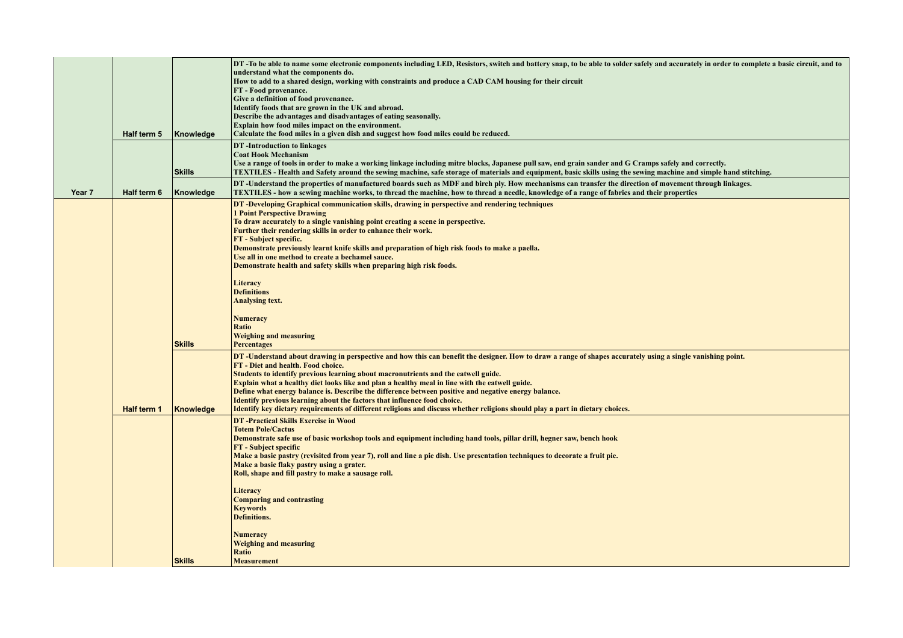|        |             |               | DT-To be able to name some electronic components including LED, Resistors, switch and battery snap, to be able to solder safely and accurately in order to complete a basic circuit, and to<br>understand what the components do.                                                                                           |
|--------|-------------|---------------|-----------------------------------------------------------------------------------------------------------------------------------------------------------------------------------------------------------------------------------------------------------------------------------------------------------------------------|
|        |             |               | How to add to a shared design, working with constraints and produce a CAD CAM housing for their circuit<br>FT - Food provenance.                                                                                                                                                                                            |
|        |             |               | Give a definition of food provenance.<br>Identify foods that are grown in the UK and abroad.                                                                                                                                                                                                                                |
|        |             |               | Describe the advantages and disadvantages of eating seasonally.<br>Explain how food miles impact on the environment.                                                                                                                                                                                                        |
|        | Half term 5 | Knowledge     | Calculate the food miles in a given dish and suggest how food miles could be reduced.                                                                                                                                                                                                                                       |
|        |             |               | DT-Introduction to linkages<br><b>Coat Hook Mechanism</b>                                                                                                                                                                                                                                                                   |
|        |             | <b>Skills</b> | Use a range of tools in order to make a working linkage including mitre blocks, Japanese pull saw, end grain sander and G Cramps safely and correctly.<br>TEXTILES - Health and Safety around the sewing machine, safe storage of materials and equipment, basic skills using the sewing machine and simple hand stitching. |
| Year 7 | Half term 6 | Knowledge     | DT-Understand the properties of manufactured boards such as MDF and birch ply. How mechanisms can transfer the direction of movement through linkages.<br>TEXTILES - how a sewing machine works, to thread the machine, how to thread a needle, knowledge of a range of fabrics and their properties                        |
|        |             |               | DT-Developing Graphical communication skills, drawing in perspective and rendering techniques<br><b>1 Point Perspective Drawing</b>                                                                                                                                                                                         |
|        |             |               | To draw accurately to a single vanishing point creating a scene in perspective.<br>Further their rendering skills in order to enhance their work.                                                                                                                                                                           |
|        |             |               | FT - Subject specific.<br>Demonstrate previously learnt knife skills and preparation of high risk foods to make a paella.                                                                                                                                                                                                   |
|        |             |               | Use all in one method to create a bechamel sauce.                                                                                                                                                                                                                                                                           |
|        |             |               | Demonstrate health and safety skills when preparing high risk foods.                                                                                                                                                                                                                                                        |
|        |             |               | Literacy<br><b>Definitions</b>                                                                                                                                                                                                                                                                                              |
|        |             |               | <b>Analysing text.</b>                                                                                                                                                                                                                                                                                                      |
|        |             |               | <b>Numeracy</b><br>Ratio                                                                                                                                                                                                                                                                                                    |
|        |             | <b>Skills</b> | <b>Weighing and measuring</b><br><b>Percentages</b>                                                                                                                                                                                                                                                                         |
|        |             |               | DT-Understand about drawing in perspective and how this can benefit the designer. How to draw a range of shapes accurately using a single vanishing point.                                                                                                                                                                  |
|        |             |               | FT - Diet and health. Food choice.<br>Students to identify previous learning about macronutrients and the eatwell guide.                                                                                                                                                                                                    |
|        |             |               | Explain what a healthy diet looks like and plan a healthy meal in line with the eatwell guide.<br>Define what energy balance is. Describe the difference between positive and negative energy balance.                                                                                                                      |
|        | Half term 1 | Knowledge     | Identify previous learning about the factors that influence food choice.<br>Identify key dietary requirements of different religions and discuss whether religions should play a part in dietary choices.                                                                                                                   |
|        |             |               | <b>DT</b> -Practical Skills Exercise in Wood                                                                                                                                                                                                                                                                                |
|        |             |               | <b>Totem Pole/Cactus</b><br>Demonstrate safe use of basic workshop tools and equipment including hand tools, pillar drill, hegner saw, bench hook                                                                                                                                                                           |
|        |             |               | <b>FT</b> - Subject specific<br>Make a basic pastry (revisited from year 7), roll and line a pie dish. Use presentation techniques to decorate a fruit pie.                                                                                                                                                                 |
|        |             |               | Make a basic flaky pastry using a grater.<br>Roll, shape and fill pastry to make a sausage roll.                                                                                                                                                                                                                            |
|        |             |               | Literacy                                                                                                                                                                                                                                                                                                                    |
|        |             |               | <b>Comparing and contrasting</b><br><b>Keywords</b>                                                                                                                                                                                                                                                                         |
|        |             |               | <b>Definitions.</b>                                                                                                                                                                                                                                                                                                         |
|        |             |               | <b>Numeracy</b><br><b>Weighing and measuring</b>                                                                                                                                                                                                                                                                            |
|        |             |               | Ratio                                                                                                                                                                                                                                                                                                                       |
|        |             | <b>Skills</b> | <b>Measurement</b>                                                                                                                                                                                                                                                                                                          |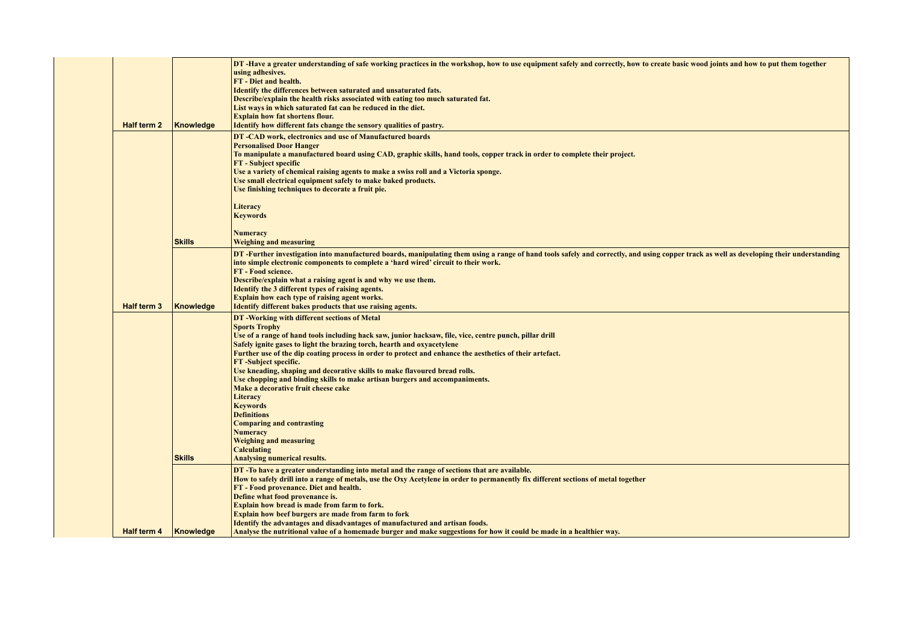|  | <b>Half term 2</b> | Knowledge     | DT -Have a greater understanding of safe working practices in the workshop, how to use equipment safely and correctly, how to create basic wood joints and how to put them together<br>using adhesives.<br><b>FT</b> - Diet and health.<br>Identify the differences between saturated and unsaturated fats.<br>Describe/explain the health risks associated with eating too much saturated fat.<br>List ways in which saturated fat can be reduced in the diet.<br><b>Explain how fat shortens flour.</b><br>Identify how different fats change the sensory qualities of pastry.                                                                                                                                                                                                                                    |
|--|--------------------|---------------|---------------------------------------------------------------------------------------------------------------------------------------------------------------------------------------------------------------------------------------------------------------------------------------------------------------------------------------------------------------------------------------------------------------------------------------------------------------------------------------------------------------------------------------------------------------------------------------------------------------------------------------------------------------------------------------------------------------------------------------------------------------------------------------------------------------------|
|  |                    |               | DT-CAD work, electronics and use of Manufactured boards<br><b>Personalised Door Hanger</b><br>To manipulate a manufactured board using CAD, graphic skills, hand tools, copper track in order to complete their project.<br><b>FT</b> - Subject specific<br>Use a variety of chemical raising agents to make a swiss roll and a Victoria sponge.<br>Use small electrical equipment safely to make baked products.<br>Use finishing techniques to decorate a fruit pie.<br>Literacy<br><b>Keywords</b>                                                                                                                                                                                                                                                                                                               |
|  |                    | <b>Skills</b> | <b>Numeracy</b><br><b>Weighing and measuring</b>                                                                                                                                                                                                                                                                                                                                                                                                                                                                                                                                                                                                                                                                                                                                                                    |
|  | Half term 3        | Knowledge     | DT-Further investigation into manufactured boards, manipulating them using a range of hand tools safely and correctly, and using copper track as well as developing their understanding<br>into simple electronic components to complete a 'hard wired' circuit to their work.<br>FT - Food science.<br>Describe/explain what a raising agent is and why we use them.<br>Identify the 3 different types of raising agents.<br>Explain how each type of raising agent works.<br>Identify different bakes products that use raising agents.                                                                                                                                                                                                                                                                           |
|  | <b>Half term 4</b> | <b>Skills</b> | DT-Working with different sections of Metal<br><b>Sports Trophy</b><br>Use of a range of hand tools including hack saw, junior hacksaw, file, vice, centre punch, pillar drill<br>Safely ignite gases to light the brazing torch, hearth and oxyacetylene<br>Further use of the dip coating process in order to protect and enhance the aesthetics of their artefact.<br><b>FT</b> -Subject specific.<br>Use kneading, shaping and decorative skills to make flavoured bread rolls.<br>Use chopping and binding skills to make artisan burgers and accompaniments.<br>Make a decorative fruit cheese cake<br>Literacy<br><b>Keywords</b><br><b>Definitions</b><br><b>Comparing and contrasting</b><br><b>Numeracy</b><br><b>Weighing and measuring</b><br><b>Calculating</b><br><b>Analysing numerical results.</b> |
|  |                    | Knowledge     | DT-To have a greater understanding into metal and the range of sections that are available.<br>How to safely drill into a range of metals, use the Oxy Acetylene in order to permanently fix different sections of metal together<br>FT - Food provenance. Diet and health.<br>Define what food provenance is.<br>Explain how bread is made from farm to fork.<br><b>Explain how beef burgers are made from farm to fork</b><br>Identify the advantages and disadvantages of manufactured and artisan foods.<br>Analyse the nutritional value of a homemade burger and make suggestions for how it could be made in a healthier way.                                                                                                                                                                                |